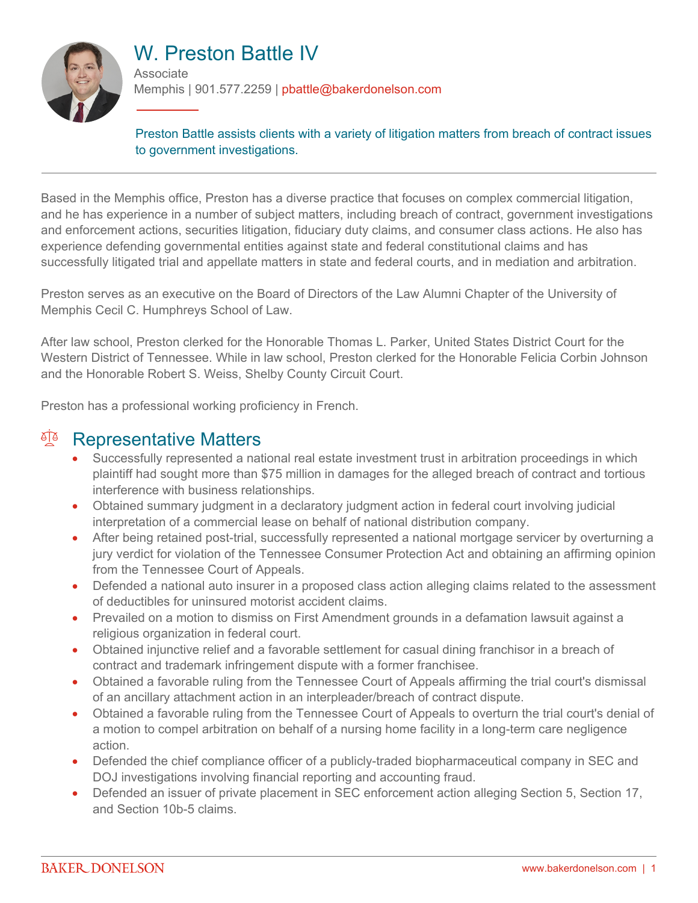

# W. Preston Battle IV

**Associate** Memphis | 901.577.2259 | pbattle@bakerdonelson.com

Preston Battle assists clients with a variety of litigation matters from breach of contract issues to government investigations.

Based in the Memphis office, Preston has a diverse practice that focuses on complex commercial litigation, and he has experience in a number of subject matters, including breach of contract, government investigations and enforcement actions, securities litigation, fiduciary duty claims, and consumer class actions. He also has experience defending governmental entities against state and federal constitutional claims and has successfully litigated trial and appellate matters in state and federal courts, and in mediation and arbitration.

Preston serves as an executive on the Board of Directors of the Law Alumni Chapter of the University of Memphis Cecil C. Humphreys School of Law.

After law school, Preston clerked for the Honorable Thomas L. Parker, United States District Court for the Western District of Tennessee. While in law school, Preston clerked for the Honorable Felicia Corbin Johnson and the Honorable Robert S. Weiss, Shelby County Circuit Court.

Preston has a professional working proficiency in French.

#### <sup>A</sup> Representative Matters

- Successfully represented a national real estate investment trust in arbitration proceedings in which plaintiff had sought more than \$75 million in damages for the alleged breach of contract and tortious interference with business relationships.
- Obtained summary judgment in a declaratory judgment action in federal court involving judicial interpretation of a commercial lease on behalf of national distribution company.
- After being retained post-trial, successfully represented a national mortgage servicer by overturning a jury verdict for violation of the Tennessee Consumer Protection Act and obtaining an affirming opinion from the Tennessee Court of Appeals.
- Defended a national auto insurer in a proposed class action alleging claims related to the assessment of deductibles for uninsured motorist accident claims.
- Prevailed on a motion to dismiss on First Amendment grounds in a defamation lawsuit against a religious organization in federal court.
- Obtained injunctive relief and a favorable settlement for casual dining franchisor in a breach of contract and trademark infringement dispute with a former franchisee.
- Obtained a favorable ruling from the Tennessee Court of Appeals affirming the trial court's dismissal of an ancillary attachment action in an interpleader/breach of contract dispute.
- Obtained a favorable ruling from the Tennessee Court of Appeals to overturn the trial court's denial of a motion to compel arbitration on behalf of a nursing home facility in a long-term care negligence action.
- Defended the chief compliance officer of a publicly-traded biopharmaceutical company in SEC and DOJ investigations involving financial reporting and accounting fraud.
- Defended an issuer of private placement in SEC enforcement action alleging Section 5, Section 17, and Section 10b-5 claims.